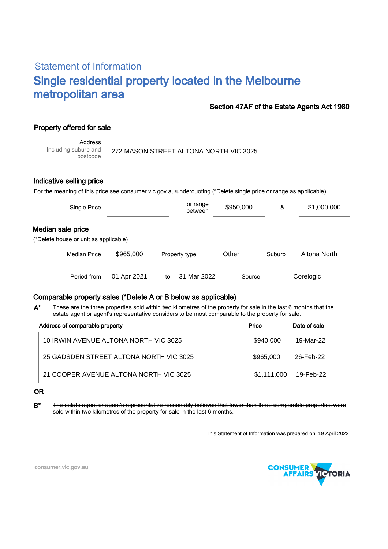# Statement of Information Single residential property located in the Melbourne metropolitan area

### Section 47AF of the Estate Agents Act 1980

## Property offered for sale

Address Including suburb and postcode

272 MASON STREET ALTONA NORTH VIC 3025

#### Indicative selling price

For the meaning of this price see consumer.vic.gov.au/underquoting (\*Delete single price or range as applicable)

| Single Price                                               |             |    | or range<br>between |       | \$950,000 | &         | \$1,000,000  |  |  |  |  |
|------------------------------------------------------------|-------------|----|---------------------|-------|-----------|-----------|--------------|--|--|--|--|
| Median sale price<br>(*Delete house or unit as applicable) |             |    |                     |       |           |           |              |  |  |  |  |
| <b>Median Price</b>                                        | \$965,000   |    | Property type       | Other |           | Suburb    | Altona North |  |  |  |  |
| Period-from                                                | 01 Apr 2021 | to | 31 Mar 2022         |       | Source    | Corelogic |              |  |  |  |  |

## Comparable property sales (\*Delete A or B below as applicable)

These are the three properties sold within two kilometres of the property for sale in the last 6 months that the estate agent or agent's representative considers to be most comparable to the property for sale. A\*

| Address of comparable property          | Price       | Date of sale |  |
|-----------------------------------------|-------------|--------------|--|
| 10 IRWIN AVENUE ALTONA NORTH VIC 3025   | \$940,000   | 19-Mar-22    |  |
| 25 GADSDEN STREET ALTONA NORTH VIC 3025 | \$965,000   | 26-Feb-22    |  |
| 21 COOPER AVENUE ALTONA NORTH VIC 3025  | \$1,111,000 | 19-Feb-22    |  |

#### OR

B<sup>\*</sup> The estate agent or agent's representative reasonably believes that fewer than three comparable properties were sold within two kilometres of the property for sale in the last 6 months.

This Statement of Information was prepared on: 19 April 2022



consumer.vic.gov.au